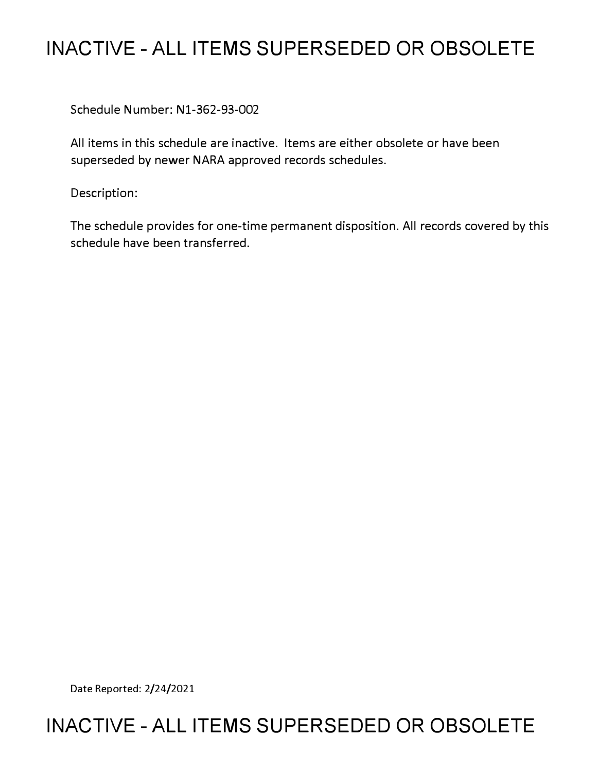## **INACTIVE - ALL ITEMS SUPERSEDED OR OBSOLETE**

Schedule Number: N1-362-93-002

All items in this schedule are inactive. Items are either obsolete or have been superseded by newer NARA approved records schedules.

Description:

The schedule provides for one-time permanent disposition. All records covered by this schedule have been transferred.

Date Reported: 2/24/2021

## **INACTIVE - ALL ITEMS SUPERSEDED OR OBSOLETE**